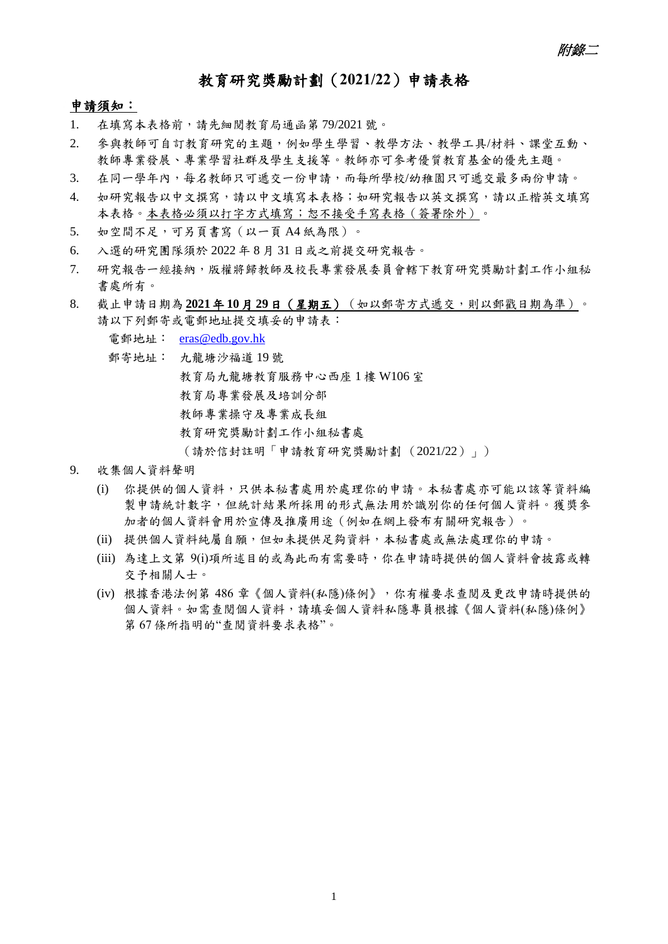## 教育研究獎勵計劃(**2021/22**)申請表格

## 申請須知:

- 1. 在填寫本表格前,請先細閱教育局通函第 79/2021 號。
- 2. 參與教師可自訂教育研究的主題,例如學生學習、教學方法、教學工具/材料、課堂互動、 教師專業發展、專業學習社群及學生支援等。教師亦可參考優質教育基金的優先主題。
- 3. 在同一學年內,每名教師只可遞交一份申請,而每所學校/幼稚園只可遞交最多兩份申請。
- 4. 如研究報告以中文撰寫,請以中文填寫本表格;如研究報告以英文撰寫,請以正楷英文填寫 本表格。本表格必須以打字方式填寫;恕不接受手寫表格(簽署除外)。
- 5. 如空間不足,可另頁書寫 (以一頁 A4 紙為限)。
- 6. 入選的研究團隊須於 2022 年 8 月 31 日或之前提交研究報告。
- 7. 研究報告一經接納,版權將歸教師及校長專業發展委員會轄下教育研究獎勵計劃工作小組秘 書處所有。
- 8. 截止申請日期為 **2021**年 **10**月 **29**日(星期五)(如以郵寄方式遞交,則以郵戳日期為準)。 請以下列郵寄或電郵地址提交填妥的申請表:

電郵地址: [eras@edb.gov.hk](mailto:eras@edb.gov.hk)

郵寄地址: 九龍塘沙福道 19 號

教育局九龍塘教育服務中心西座 1 樓 W106 室

- 教育局專業發展及培訓分部
- 教師專業操守及專業成長組
- 教育研究獎勵計劃工作小組秘書處
- (請於信封註明「申請教育研究獎勵計劃 (2021/22)」)
- 9. 收集個人資料聲明
	- (i) 你提供的個人資料,只供本秘書處用於處理你的申請。本秘書處亦可能以該等資料編 製申請統計數字,但統計結果所採用的形式無法用於識別你的任何個人資料。獲獎參 加者的個人資料會用於宣傳及推廣用途(例如在網上發布有關研究報告)。
	- (ii) 提供個人資料純屬自願,但如未提供足夠資料,本秘書處或無法處理你的申請。
	- (iii) 為達上文第 9(i)項所述目的或為此而有需要時,你在申請時提供的個人資料會披露或轉 交予相關人士。
	- (iv) 根據香港法例第 486 章《個人資料(私隱)條例》,你有權要求查閱及更改申請時提供的 個人資料。如需查閱個人資料,請填妥個人資料私隱專員根據《個人資料(私隱)條例》 第 67 條所指明的"查閱資料要求表格"。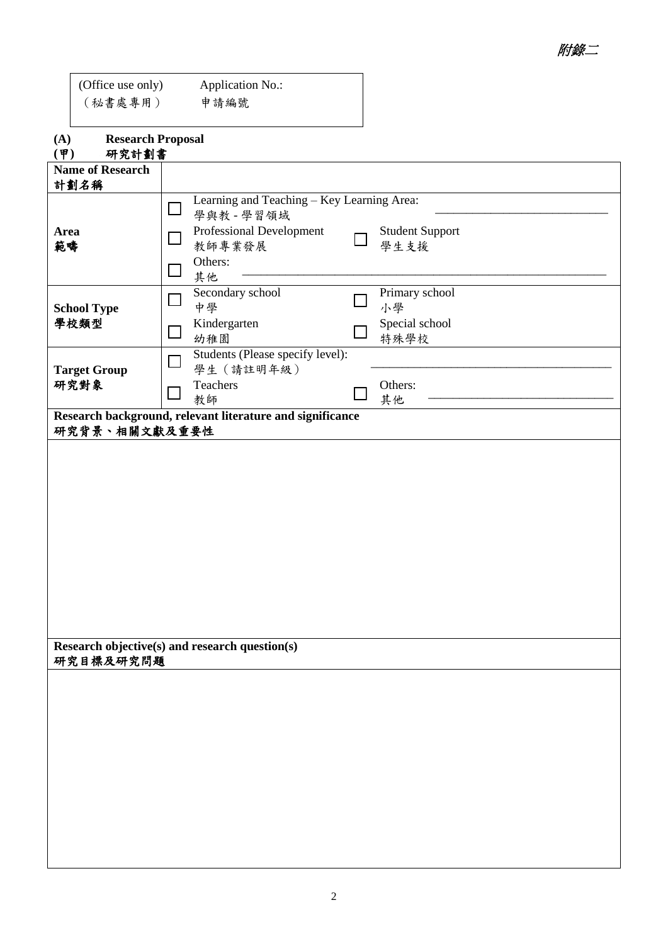| (Office use only) | <b>Application No.:</b> |  |
|-------------------|-------------------------|--|
| (秘書處專用)           | 申請編號                    |  |

| (A) | <b>Research Proposal</b> |
|-----|--------------------------|
|-----|--------------------------|

| $(\overline{\P})$<br>研究計劃書                                  |              |                                                           |  |                                |  |  |
|-------------------------------------------------------------|--------------|-----------------------------------------------------------|--|--------------------------------|--|--|
| <b>Name of Research</b>                                     |              |                                                           |  |                                |  |  |
| 計劃名稱                                                        |              |                                                           |  |                                |  |  |
|                                                             | $\Box$       | Learning and Teaching - Key Learning Area:<br>學與教 - 學習領域  |  |                                |  |  |
| Area<br>範疇                                                  |              | Professional Development<br>教師專業發展                        |  | <b>Student Support</b><br>學生支援 |  |  |
|                                                             | $\mathbf{L}$ | Others:<br>其他                                             |  |                                |  |  |
| <b>School Type</b>                                          | $\Box$       | Secondary school<br>中學                                    |  | Primary school<br>小學           |  |  |
| 學校類型                                                        |              | Kindergarten<br>幼稚園<br>Students (Please specify level):   |  | Special school<br>特殊學校         |  |  |
| <b>Target Group</b>                                         |              |                                                           |  |                                |  |  |
| 研究對象                                                        |              | Teachers<br>教師                                            |  | Others:<br>其他                  |  |  |
| 研究背景、相關文獻及重要性                                               |              | Research background, relevant literature and significance |  |                                |  |  |
|                                                             |              |                                                           |  |                                |  |  |
|                                                             |              |                                                           |  |                                |  |  |
|                                                             |              |                                                           |  |                                |  |  |
|                                                             |              |                                                           |  |                                |  |  |
|                                                             |              |                                                           |  |                                |  |  |
|                                                             |              |                                                           |  |                                |  |  |
|                                                             |              |                                                           |  |                                |  |  |
|                                                             |              |                                                           |  |                                |  |  |
|                                                             |              |                                                           |  |                                |  |  |
|                                                             |              |                                                           |  |                                |  |  |
| Research objective(s) and research question(s)<br>研究目標及研究問題 |              |                                                           |  |                                |  |  |
|                                                             |              |                                                           |  |                                |  |  |
|                                                             |              |                                                           |  |                                |  |  |
|                                                             |              |                                                           |  |                                |  |  |
|                                                             |              |                                                           |  |                                |  |  |
|                                                             |              |                                                           |  |                                |  |  |
|                                                             |              |                                                           |  |                                |  |  |
|                                                             |              |                                                           |  |                                |  |  |
|                                                             |              |                                                           |  |                                |  |  |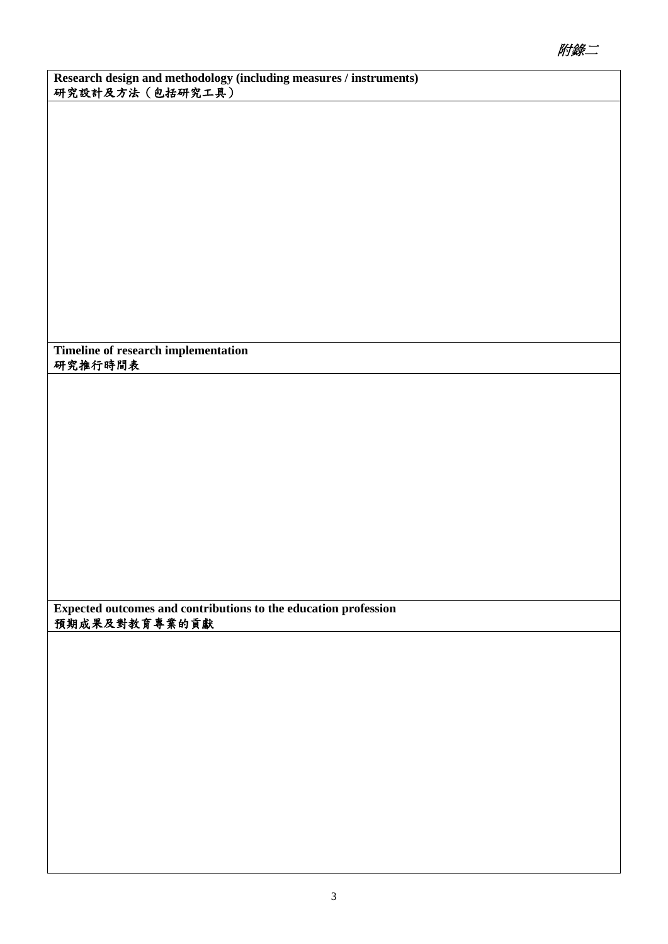**Research design and methodology (including measures / instruments)** 研究設計及方法(包括研究工具)

**Timeline of research implementation** 研究推行時間表

**Expected outcomes and contributions to the education profession** 預期成果及對教育專業的貢獻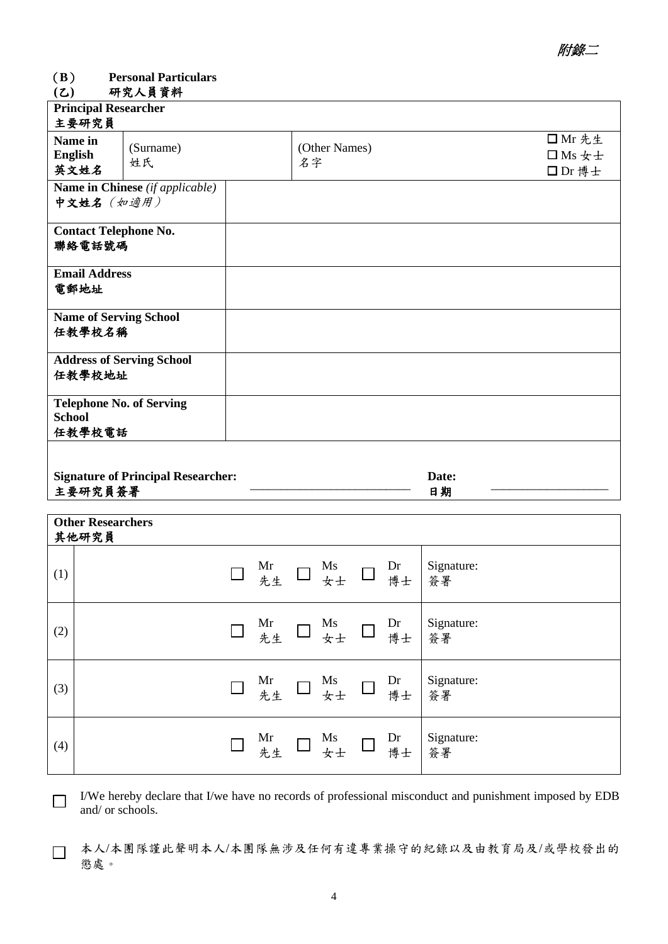## (**B**) **Personal Particulars**

## **(**乙**)** 研究人員資料

| <b>Principal Researcher</b>                                |                                           |                     |                                  |
|------------------------------------------------------------|-------------------------------------------|---------------------|----------------------------------|
| 主要研究員                                                      |                                           |                     |                                  |
| Name in<br><b>English</b><br>英文姓名                          | (Surname)<br>姓氏                           | (Other Names)<br>名字 | □ Mr 先生<br>$\Box$ Ms 女士<br>□Dr博士 |
| 中文姓名 (如適用)                                                 | Name in Chinese (if applicable)           |                     |                                  |
| <b>Contact Telephone No.</b><br>聯絡電話號碼                     |                                           |                     |                                  |
| <b>Email Address</b><br>電郵地址                               |                                           |                     |                                  |
| <b>Name of Serving School</b><br>任教學校名稱                    |                                           |                     |                                  |
| 任教學校地址                                                     | <b>Address of Serving School</b>          |                     |                                  |
| <b>Telephone No. of Serving</b><br><b>School</b><br>任教學校電話 |                                           |                     |                                  |
| 主要研究員簽署                                                    | <b>Signature of Principal Researcher:</b> | Date:<br>日期         |                                  |
|                                                            |                                           |                     |                                  |

|     | <b>Other Researchers</b><br>其他研究員 |  |  |                                                                      |                                                                                                                                                                                                                                                                                                                                                         |
|-----|-----------------------------------|--|--|----------------------------------------------------------------------|---------------------------------------------------------------------------------------------------------------------------------------------------------------------------------------------------------------------------------------------------------------------------------------------------------------------------------------------------------|
| (1) |                                   |  |  |                                                                      | $\Box$ Mr $\Box$ Ms $\Box$ Dr Signature:<br>$\Box \pm \bot$ $\Box \pm \bot$ $\frac{1}{\frac{1}{2}}$ $\frac{1}{\frac{1}{2}}$ $\frac{1}{\frac{1}{2}}$ $\frac{1}{\frac{1}{2}}$ $\frac{1}{\frac{1}{2}}$ $\frac{1}{\frac{1}{2}}$ $\frac{1}{\frac{1}{2}}$ $\frac{1}{\frac{1}{2}}$ $\frac{1}{\frac{1}{2}}$ $\frac{1}{\frac{1}{2}}$ $\frac{1}{\frac{1}{2}}$ $\$ |
| (2) |                                   |  |  |                                                                      | $\Box$ Mr $\Box$ Ms $\Box$ Dr Signature:<br>$\frac{1}{2}$ Ms $\Box$ $\frac{1}{2}$ Ms $\frac{1}{2}$ Ms $\frac{1}{2}$ Ms $\frac{1}{2}$ Ms $\frac{1}{2}$ Ms $\frac{1}{2}$ Ms $\frac{1}{2}$ Ms $\frac{1}{2}$ Ms $\frac{1}{2}$ Ms $\frac{1}{2}$ Ms $\frac{1}{2}$ Ms $\frac{1}{2}$ Ms $\frac{1}{2}$ M                                                         |
| (3) |                                   |  |  |                                                                      | $\Box$ Mr $\Box$ Ms $\Box$ Dr Signature:<br>$\frac{1}{2}$ At $\Box$ $\frac{1}{2}$ At $\Box$ $\frac{1}{2}$ At $\frac{1}{2}$ $\frac{1}{2}$ At $\frac{1}{2}$                                                                                                                                                                                               |
| (4) |                                   |  |  | $\Box$ Mr $\Box$ Ms $\Box$ Dr $\parallel$ $\frac{Mr}{\frac{1}{2}+r}$ | Signature:<br>簽署                                                                                                                                                                                                                                                                                                                                        |

 I/We hereby declare that I/we have no records of professional misconduct and punishment imposed by EDB and/ or schools.

 本人/本團隊謹此聲明本人/本團隊無涉及任何有違專業操守的紀錄以及由教育局及/或學校發出的 懲處。